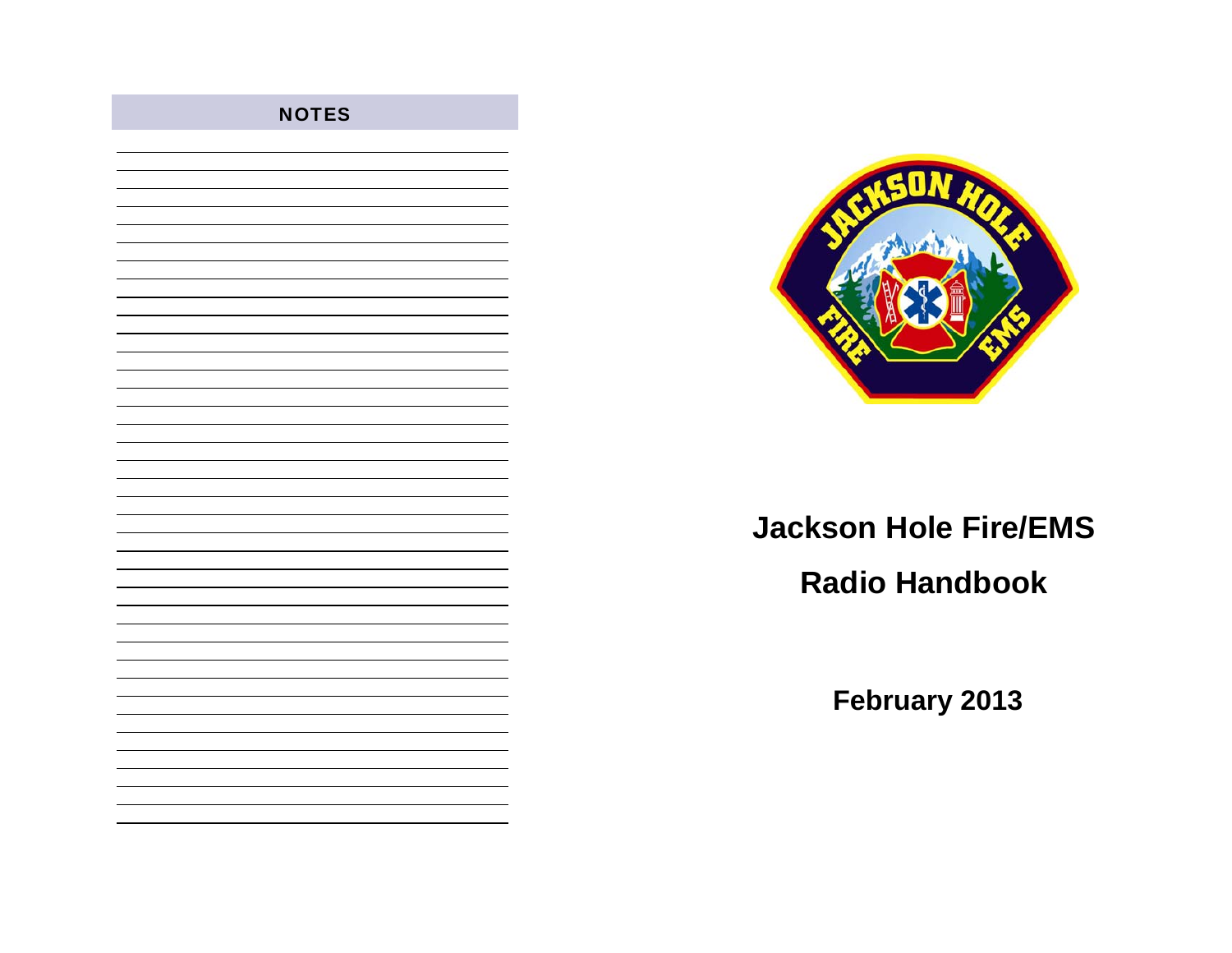

# **Jackson Hole Fire/EMS Radio Handbook**

**February 2013** 



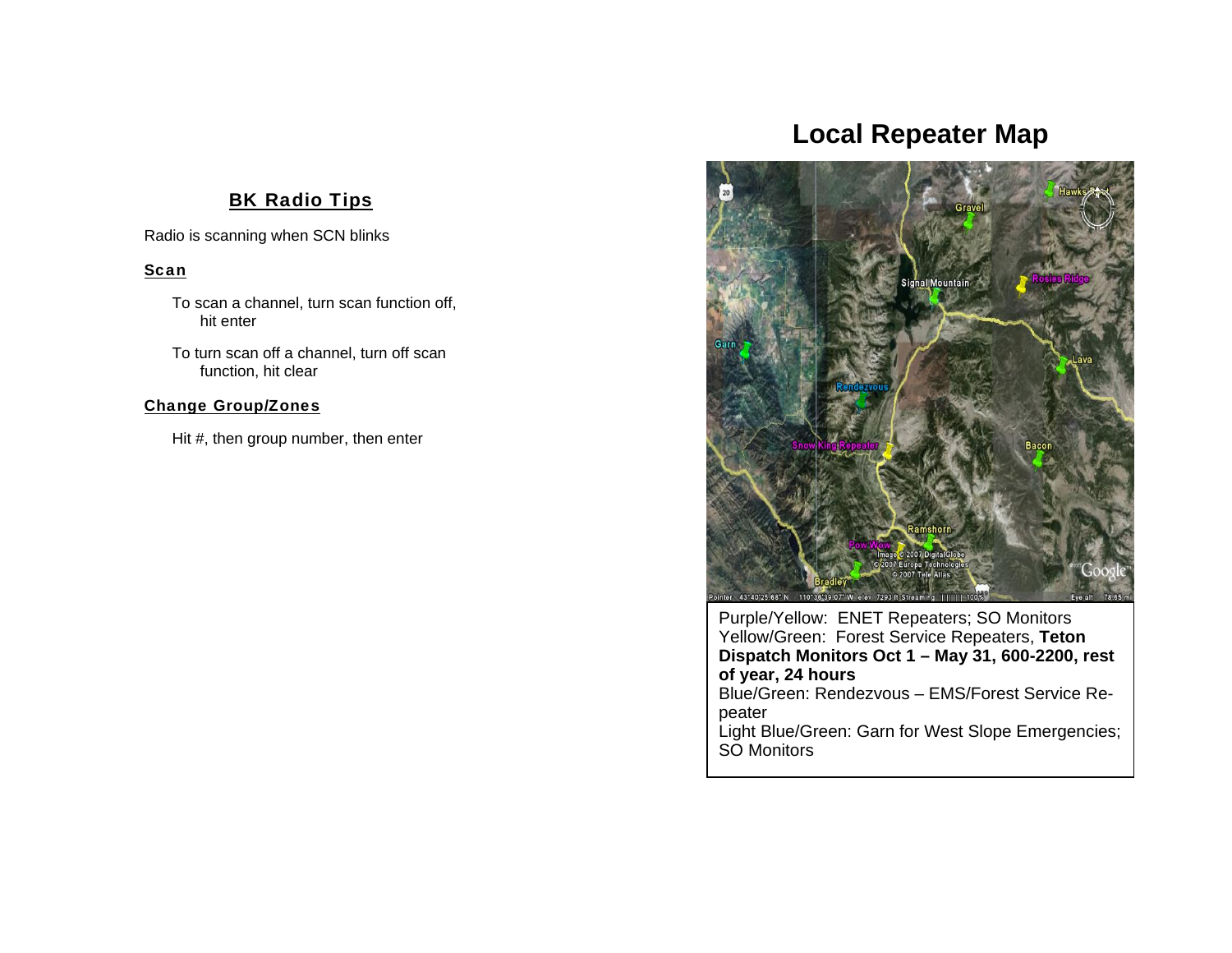### **BK Radio Tips**

Radio is scanning when SCN blinks

#### <u>Scar</u>

To scan a channel, turn scan function off, hit enter

To turn scan off a channel, turn off scan function, hit clear

#### Change Group/Zones

Hit #, then group number, then enter

## **Local Repeater Map**



Purple/Yellow: ENET Repeaters; SO Monitors Yellow/Green: Forest Service Repeaters, **Teton Dispatch Monitors Oct 1 – May 31, 600-2200, rest of year, 24 hours** Blue/Green: Rendezvous – EMS/Forest Service Repeater

Light Blue/Green: Garn for West Slope Emergencies; SO Monitors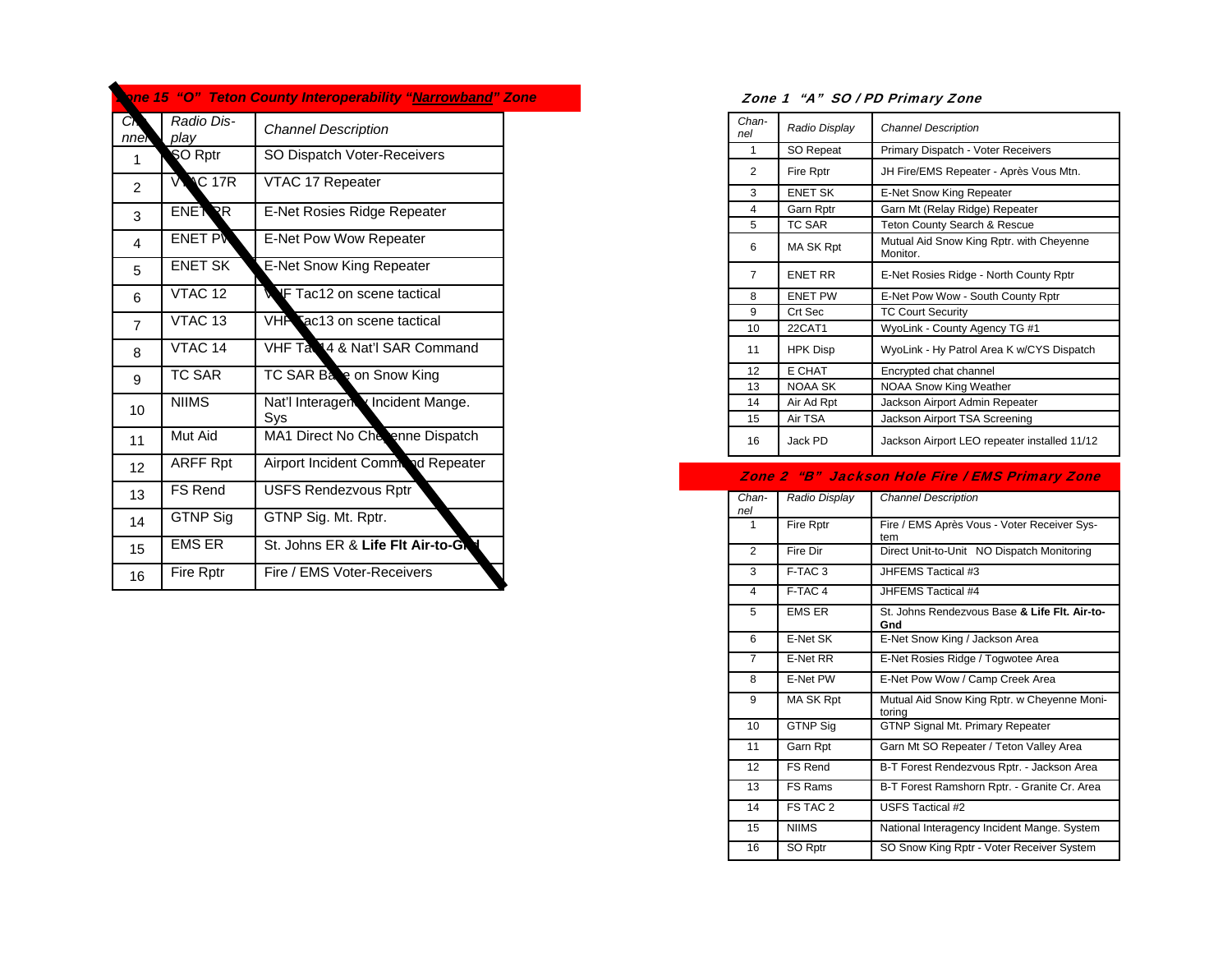|                         |                    | one 15 "O" Teton County Interoperability "Narrowband" Zone |  |
|-------------------------|--------------------|------------------------------------------------------------|--|
| CN.<br>nner             | Radio Dis-<br>play | <b>Channel Description</b>                                 |  |
| 1                       | SO Rptr            | SO Dispatch Voter-Receivers                                |  |
| $\overline{2}$          | <b>VNC 17R</b>     | VTAC 17 Repeater                                           |  |
| 3                       | <b>ENETRR</b>      | E-Net Rosies Ridge Repeater                                |  |
| $\overline{\mathbf{4}}$ | <b>ENET PN</b>     | E-Net Pow Wow Repeater                                     |  |
| 5                       | <b>ENET SK</b>     | <b>E-Net Snow King Repeater</b>                            |  |
| 6                       | VTAC <sub>12</sub> | <b>WF</b> Tac12 on scene tactical                          |  |
| $\overline{7}$          | VTAC <sub>13</sub> | VHP ac13 on scene tactical                                 |  |
| 8                       | VTAC 14            | VHF Ta 14 & Nat'l SAR Command                              |  |
| 9                       | TC SAR             | TC SAR Ba e on Snow King                                   |  |
| 10                      | <b>NIIMS</b>       | Nat'l Interagen Incident Mange.<br>Sys                     |  |
| 11                      | Mut Aid            | MA1 Direct No Che enne Dispatch                            |  |
| 12                      | <b>ARFF Rpt</b>    | Airport Incident Commond Repeater                          |  |
| 13                      | <b>FS Rend</b>     | <b>USFS Rendezvous Rptr</b>                                |  |
| 14                      | <b>GTNP Sig</b>    | GTNP Sig. Mt. Rptr.                                        |  |
| 15                      | <b>EMS ER</b>      | St. Johns ER & Life Fit Air-to-G                           |  |
| 16                      | Fire Rptr          | Fire / EMS Voter-Receivers                                 |  |

#### Zone 1 "A" SO / PD Primary Zone

| Chan-<br>nel   | Radio Display    | <b>Channel Description</b>                           |
|----------------|------------------|------------------------------------------------------|
| 1              | SO Repeat        | Primary Dispatch - Voter Receivers                   |
| 2              | <b>Fire Rptr</b> | JH Fire/EMS Repeater - Après Vous Mtn.               |
| 3              | <b>ENET SK</b>   | E-Net Snow King Repeater                             |
| 4              | Garn Rptr        | Garn Mt (Relay Ridge) Repeater                       |
| 5              | <b>TC SAR</b>    | Teton County Search & Rescue                         |
| 6              | MA SK Rpt        | Mutual Aid Snow King Rptr. with Cheyenne<br>Monitor. |
| $\overline{7}$ | <b>ENET RR</b>   | E-Net Rosies Ridge - North County Rptr               |
| 8              | <b>ENET PW</b>   | E-Net Pow Wow - South County Rptr                    |
| 9              | Crt Sec          | <b>TC Court Security</b>                             |
| 10             | 22CAT1           | WyoLink - County Agency TG #1                        |
| 11             | <b>HPK Disp</b>  | WyoLink - Hy Patrol Area K w/CYS Dispatch            |
| 12             | E CHAT           | Encrypted chat channel                               |
| 13             | <b>NOAA SK</b>   | <b>NOAA Snow King Weather</b>                        |
| 14             | Air Ad Rpt       | Jackson Airport Admin Repeater                       |
| 15             | Air TSA          | Jackson Airport TSA Screening                        |
| 16             | Jack PD          | Jackson Airport LEO repeater installed 11/12         |

#### Zone 2 "B" Jackson Hole Fire / EMS Primary Zone

| Chan-<br>nel   | Radio Display      | <b>Channel Description</b>                            |
|----------------|--------------------|-------------------------------------------------------|
| 1              | Fire Rptr          | Fire / EMS Après Vous - Voter Receiver Sys-<br>tem    |
| 2              | Fire Dir           | Direct Unit-to-Unit NO Dispatch Monitoring            |
| 3              | F-TAC <sub>3</sub> | JHFEMS Tactical #3                                    |
| $\overline{4}$ | F-TAC 4            | JHFEMS Tactical #4                                    |
| 5              | <b>EMS ER</b>      | St. Johns Rendezvous Base & Life Flt. Air-to-<br>Gnd  |
| 6              | E-Net SK           | E-Net Snow King / Jackson Area                        |
| 7              | E-Net RR           | E-Net Rosies Ridge / Togwotee Area                    |
| 8              | E-Net PW           | E-Net Pow Wow / Camp Creek Area                       |
| 9              | MA SK Rpt          | Mutual Aid Snow King Rptr. w Cheyenne Moni-<br>toring |
| 10             | <b>GTNP Sig</b>    | <b>GTNP Signal Mt. Primary Repeater</b>               |
| 11             | Garn Rpt           | Garn Mt SO Repeater / Teton Valley Area               |
| 12             | <b>FS Rend</b>     | B-T Forest Rendezvous Rptr. - Jackson Area            |
| 13             | FS Rams            | B-T Forest Ramshorn Rptr. - Granite Cr. Area          |
| 14             | FS TAC 2           | <b>USFS Tactical #2</b>                               |
| 15             | <b>NIIMS</b>       | National Interagency Incident Mange. System           |
| 16             | SO Rptr            | SO Snow King Rptr - Voter Receiver System             |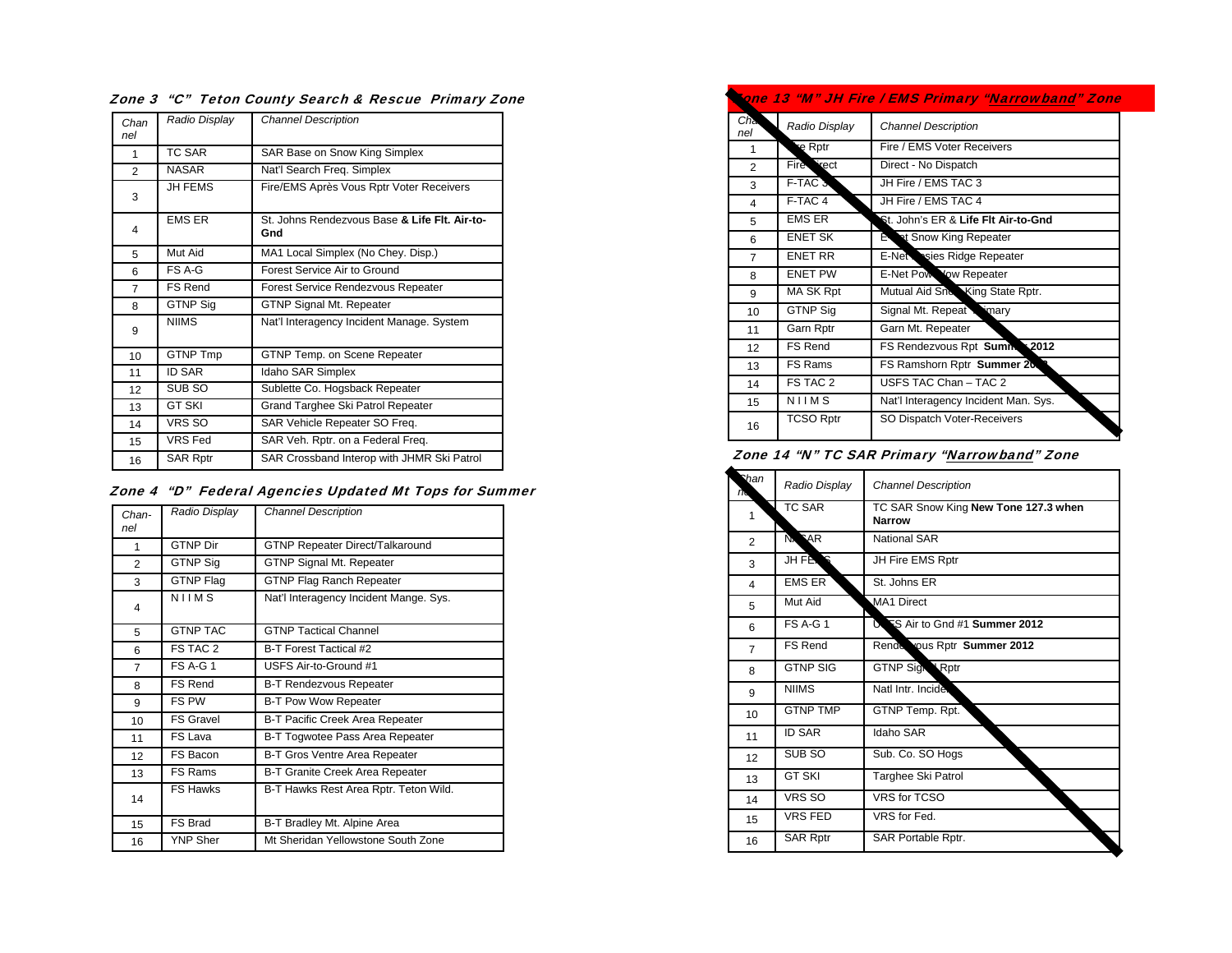| Chan<br>nel    | Radio Display   | <b>Channel Description</b>                           |
|----------------|-----------------|------------------------------------------------------|
| 1              | TC SAR          | SAR Base on Snow King Simplex                        |
| $\overline{2}$ | <b>NASAR</b>    | Nat'l Search Freq. Simplex                           |
| 3              | <b>JH FEMS</b>  | Fire/EMS Après Vous Rptr Voter Receivers             |
| 4              | <b>EMS ER</b>   | St. Johns Rendezvous Base & Life Flt. Air-to-<br>Gnd |
| 5              | Mut Aid         | MA1 Local Simplex (No Chey. Disp.)                   |
| 6              | FS A-G          | Forest Service Air to Ground                         |
| $\overline{7}$ | FS Rend         | <b>Forest Service Rendezvous Repeater</b>            |
| 8              | GTNP Sig        | <b>GTNP Signal Mt. Repeater</b>                      |
| 9              | <b>NIIMS</b>    | Nat'l Interagency Incident Manage. System            |
| 10             | <b>GTNP Tmp</b> | GTNP Temp. on Scene Repeater                         |
| 11             | <b>ID SAR</b>   | Idaho SAR Simplex                                    |
| 12             | SUB SO          | Sublette Co. Hogsback Repeater                       |
| 13             | <b>GT SKI</b>   | Grand Targhee Ski Patrol Repeater                    |
| 14             | VRS SO          | SAR Vehicle Repeater SO Freq.                        |
| 15             | <b>VRS Fed</b>  | SAR Veh. Rptr. on a Federal Freq.                    |
| 16             | <b>SAR Rptr</b> | SAR Crossband Interop with JHMR Ski Patrol           |

Zone 3 "C" Teton County Search & Rescue Primary Zone

|  |  |  |  | Zone 4 "D" Federal Agencies Updated Mt Tops for Summer |  |  |
|--|--|--|--|--------------------------------------------------------|--|--|
|--|--|--|--|--------------------------------------------------------|--|--|

| Chan-<br>nel   | Radio Display    | <b>Channel Description</b>             |
|----------------|------------------|----------------------------------------|
| 1              | <b>GTNP Dir</b>  | <b>GTNP Repeater Direct/Talkaround</b> |
| $\overline{2}$ | <b>GTNP Sig</b>  | <b>GTNP Signal Mt. Repeater</b>        |
| 3              | <b>GTNP Flag</b> | <b>GTNP Flag Ranch Repeater</b>        |
| $\overline{4}$ | NIIMS            | Nat'l Interagency Incident Mange. Sys. |
| 5              | <b>GTNP TAC</b>  | <b>GTNP Tactical Channel</b>           |
| 6              | FS TAC 2         | B-T Forest Tactical #2                 |
| $\overline{7}$ | <b>FS A-G 1</b>  | USFS Air-to-Ground #1                  |
| 8              | <b>FS Rend</b>   | <b>B-T Rendezvous Repeater</b>         |
| 9              | FS PW            | <b>B-T Pow Wow Repeater</b>            |
| 10             | <b>FS Gravel</b> | <b>B-T Pacific Creek Area Repeater</b> |
| 11             | FS Lava          | B-T Togwotee Pass Area Repeater        |
| 12             | FS Bacon         | B-T Gros Ventre Area Repeater          |
| 13             | FS Rams          | B-T Granite Creek Area Repeater        |
| 14             | <b>FS Hawks</b>  | B-T Hawks Rest Area Rptr. Teton Wild.  |
| 15             | FS Brad          | B-T Bradley Mt. Alpine Area            |
| 16             | <b>YNP Sher</b>  | Mt Sheridan Yellowstone South Zone     |

| ione 13 "M" JH Fire / EMS Primary " <u>Narrowband</u> " Zone |                  |                                      |  |
|--------------------------------------------------------------|------------------|--------------------------------------|--|
| Ch <sub>en</sub><br>nel                                      | Radio Display    | <b>Channel Description</b>           |  |
| $\mathbf{1}$                                                 | e Rptr           | Fire / EMS Voter Receivers           |  |
| $\mathfrak{p}$                                               | <b>Fire</b> Yect | Direct - No Dispatch                 |  |
| 3                                                            | F-TAC 3          | JH Fire / EMS TAC 3                  |  |
| $\overline{4}$                                               | F-TAC 4          | JH Fire / EMS TAC 4                  |  |
| 5                                                            | <b>EMS ER</b>    | St. John's ER & Life Flt Air-to-Gnd  |  |
| 6                                                            | <b>ENET SK</b>   | E at Snow King Repeater              |  |
| $\overline{7}$                                               | <b>ENET RR</b>   | E-Net sies Ridge Repeater            |  |
| 8                                                            | <b>ENET PW</b>   | E-Net Pow Yow Repeater               |  |
| 9                                                            | MA SK Rpt        | Mutual Aid Snow King State Rptr.     |  |
| 10                                                           | <b>GTNP Sig</b>  | Signal Mt. Repeat winary             |  |
| 11                                                           | Garn Rptr        | Garn Mt. Repeater                    |  |
| 12                                                           | <b>FS Rend</b>   | FS Rendezvous Rpt Summ 2012          |  |
| 13                                                           | FS Rams          | FS Ramshorn Rptr Summer 20           |  |
| 14                                                           | FS TAC 2         | USFS TAC Chan - TAC 2                |  |
| 15                                                           | NIIMS            | Nat'l Interagency Incident Man. Sys. |  |
| 16                                                           | <b>TCSO Rptr</b> | SO Dispatch Voter-Receivers          |  |

Zone 14 "N" TC SAR Primary "Narrowband" Zone

| Shan<br>m      | Radio Display                  | <b>Channel Description</b>                            |
|----------------|--------------------------------|-------------------------------------------------------|
| 1              | <b>TC SAR</b>                  | TC SAR Snow King New Tone 127.3 when<br><b>Narrow</b> |
| $\overline{2}$ | N <sub>x</sub> R <sub>AR</sub> | <b>National SAR</b>                                   |
| 3              | <b>JH FENS</b>                 | JH Fire EMS Rptr                                      |
| 4              | <b>EMS ER</b>                  | St. Johns ER                                          |
| 5              | Mut Aid                        | MA1 Direct                                            |
| 6              | <b>FS A-G 1</b>                | US S Air to Gnd #1 Summer 2012                        |
| $\overline{7}$ | FS Rend                        | Rende yous Rptr Summer 2012                           |
| 8              | <b>GTNP SIG</b>                | <b>GTNP Sign \Rptr</b>                                |
| 9              | <b>NIIMS</b>                   | Natl Intr. Incide.                                    |
| 10             | <b>GTNP TMP</b>                | GTNP Temp. Rpt.                                       |
| 11             | <b>ID SAR</b>                  | Idaho SAR                                             |
| 12             | SUB <sub>SO</sub>              | Sub. Co. SO Hogs                                      |
| 13             | <b>GT SKI</b>                  | Targhee Ski Patrol                                    |
| 14             | VRS SO                         | <b>VRS</b> for TCSO                                   |
| 15             | <b>VRS FED</b>                 | VRS for Fed.                                          |
| 16             | <b>SAR Rptr</b>                | SAR Portable Rptr.                                    |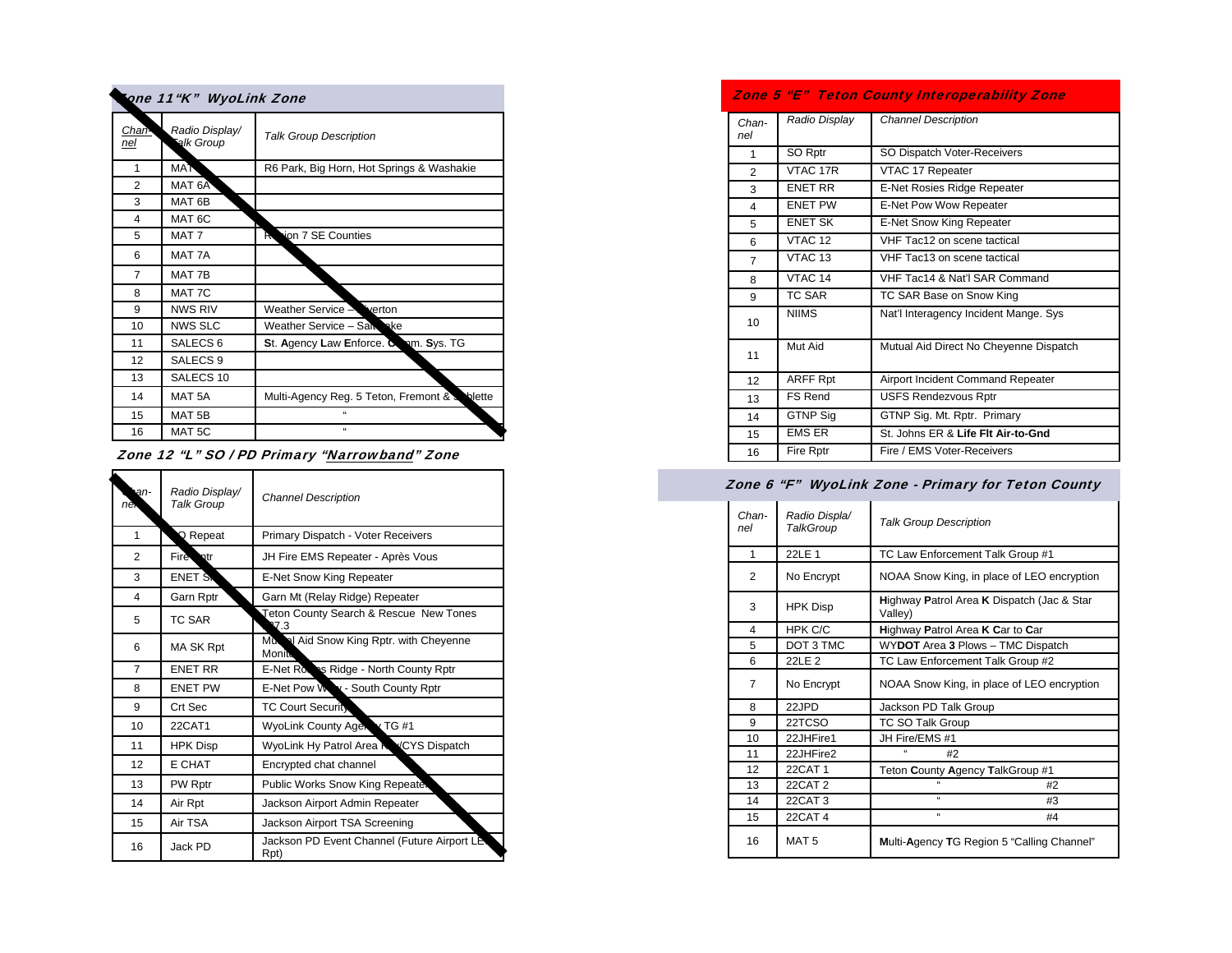| one 11"K" WyoLink Zone |                             |                                              |  |
|------------------------|-----------------------------|----------------------------------------------|--|
| Chan-<br>nel           | Radio Display/<br>alk Group | <b>Talk Group Description</b>                |  |
| 1                      | <b>MAT</b>                  | R6 Park, Big Horn, Hot Springs & Washakie    |  |
| $\overline{2}$         | MAT 6A                      |                                              |  |
| 3                      | MAT <sub>6B</sub>           |                                              |  |
| 4                      | MAT <sub>6C</sub>           |                                              |  |
| 5                      | MAT <sub>7</sub>            | ion 7 SE Counties<br>к                       |  |
| 6                      | MAT 7A                      |                                              |  |
| 7                      | MAT 7B                      |                                              |  |
| 8                      | MAT 7C                      |                                              |  |
| 9                      | <b>NWS RIV</b>              | Weather Service -<br><b>verton</b>           |  |
| 10                     | <b>NWS SLC</b>              | Weather Service - Salt ake                   |  |
| 11                     | SALECS <sub>6</sub>         | St. Agency Law Enforce. Comm. Sys. TG        |  |
| 12                     | SALECS <sub>9</sub>         |                                              |  |
| 13                     | SALECS <sub>10</sub>        |                                              |  |
| 14                     | MAT <sub>5A</sub>           | Multi-Agency Reg. 5 Teton, Fremont & Solette |  |
| 15                     | MAT <sub>5B</sub>           | $\epsilon$                                   |  |
| 16                     | MAT <sub>5</sub> C          | $\alpha$                                     |  |

Zone 12 "L" SO / PD Primary "Narrowband" Zone

| an-<br>nè.     | Radio Display/<br><b>Talk Group</b> | <b>Channel Description</b>                          |
|----------------|-------------------------------------|-----------------------------------------------------|
| 1              | $\Omega$ Repeat                     | Primary Dispatch - Voter Receivers                  |
| 2              | Fire otr                            | JH Fire EMS Repeater - Après Vous                   |
| 3              | <b>ENET SN</b>                      | E-Net Snow King Repeater                            |
| 4              | Garn Rptr                           | Garn Mt (Relay Ridge) Repeater                      |
| 5              | <b>TC SAR</b>                       | Teton County Search & Rescue New Tones<br>V 3       |
| 6              | MA SK Rpt                           | Murrell Aid Snow King Rptr. with Cheyenne<br>Monite |
| $\overline{7}$ | <b>ENET RR</b>                      | E-Net Roses Ridge - North County Rptr               |
| 8              | <b>ENET PW</b>                      | E-Net Pow Way - South County Rptr                   |
| 9              | Crt Sec                             | <b>TC Court Security</b>                            |
| 10             | 22CAT1                              | WyoLink County Age TG #1                            |
| 11             | <b>HPK Disp</b>                     | WyoLink Hy Patrol Area NYCYS Dispatch               |
| 12             | E CHAT                              | Encrypted chat channel                              |
| 13             | PW Rptr                             | Public Works Snow King Repeater                     |
| 14             | Air Rpt                             | Jackson Airport Admin Repeater                      |
| 15             | Air TSA                             | Jackson Airport TSA Screening                       |
| 16             | Jack PD                             | Jackson PD Event Channel (Future Airport LE<br>Rpt) |

Zone 5 "E" Teton County Interoperability Zone

| Chan-<br>nel | Radio Display      | <b>Channel Description</b>             |
|--------------|--------------------|----------------------------------------|
| 1            | SO Rptr            | SO Dispatch Voter-Receivers            |
| 2            | VTAC 17R           | VTAC 17 Repeater                       |
| 3            | <b>ENET RR</b>     | E-Net Rosies Ridge Repeater            |
| 4            | <b>FNFT PW</b>     | E-Net Pow Wow Repeater                 |
| 5            | <b>ENET SK</b>     | E-Net Snow King Repeater               |
| 6            | VTAC <sub>12</sub> | VHF Tac12 on scene tactical            |
| 7            | VTAC <sub>13</sub> | VHF Tac13 on scene tactical            |
| 8            | VTAC <sub>14</sub> | VHF Tac14 & Nat'l SAR Command          |
| 9            | TC SAR             | TC SAR Base on Snow King               |
| 10           | <b>NIIMS</b>       | Nat'l Interagency Incident Mange. Sys  |
| 11           | Mut Aid            | Mutual Aid Direct No Cheyenne Dispatch |
| 12           | <b>ARFF Rpt</b>    | Airport Incident Command Repeater      |
| 13           | <b>FS Rend</b>     | <b>USFS Rendezvous Rptr</b>            |
| 14           | <b>GTNP Sig</b>    | GTNP Sig. Mt. Rptr. Primary            |
| 15           | <b>EMS ER</b>      | St. Johns ER & Life Flt Air-to-Gnd     |
| 16           | Fire Rptr          | Fire / EMS Voter-Receivers             |

#### Zone 6 "F" WyoLink Zone - Primary for Teton County

| Chan-<br>nel | Radio Displa/<br>TalkGroup | <b>Talk Group Description</b>                         |
|--------------|----------------------------|-------------------------------------------------------|
| 1            | 22LE 1                     | TC Law Enforcement Talk Group #1                      |
| 2            | No Encrypt                 | NOAA Snow King, in place of LEO encryption            |
| 3            | <b>HPK Disp</b>            | Highway Patrol Area K Dispatch (Jac & Star<br>Valley) |
| 4            | HPK C/C                    | Highway Patrol Area K Car to Car                      |
| 5            | DOT 3 TMC                  | WYDOT Area 3 Plows - TMC Dispatch                     |
| 6            | 22LE 2                     | TC Law Enforcement Talk Group #2                      |
| 7            | No Encrypt                 | NOAA Snow King, in place of LEO encryption            |
| 8            | 22JPD                      | Jackson PD Talk Group                                 |
| 9            | 22TCSO                     | <b>TC SO Talk Group</b>                               |
| 10           | 22JHFire1                  | JH Fire/EMS #1                                        |
| 11           | 22JHFire2                  | $\epsilon$<br>#2                                      |
| 12           | 22CAT 1                    | Teton County Agency TalkGroup #1                      |
| 13           | <b>22CAT 2</b>             | #2                                                    |
| 14           | 22CAT 3                    | $\alpha$<br>#3                                        |
| 15           | 22CAT 4                    | $\alpha$<br>#4                                        |
| 16           | MAT <sub>5</sub>           | Multi-Agency TG Region 5 "Calling Channel"            |